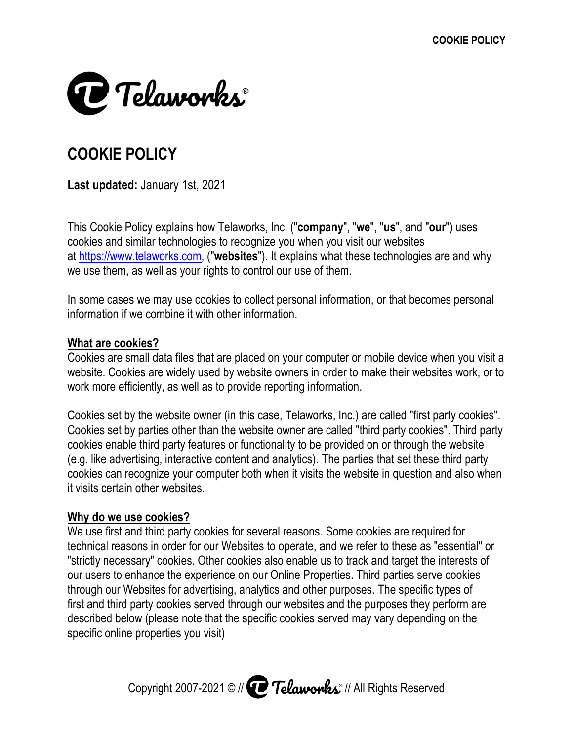

# **COOKIE POLICY**

Last updated: January 1st, 2021

This Cookie Policy explains how Telaworks, Inc. ("**company**", "**we**", "**us**", and "<br>cookies and similar technologies to recognize you when you visit our websites cookies and similar technologies to recognize you when you visit our websites cookies and at <u>https://www.telaworks.com</u>, ("**websites**"). It explains what these technologies are and why<br>we use them, as well as your rights to control our use of them.<br>In some cases we may use cookies to collect personal informati okies and similar technologies to recognize you when you visit our websites<br>
https://www.telaworks.com, ("websites"). It explains what these technologies are and why<br>
is use them, as well as your rights to control our use

we use them, as well as your rights to control our use of them.<br>In some cases we may use cookies to collect personal informa In some cases we may use cookies to collect personal information, or that becomes personal information if we combine it with other information.

# **What are cookies?**

Cookies are small data files that are placed on your computer or mobile device when you visit a Cookies are small data files that are placed on your computer or mobile device when you visit a<br>website. Cookies are widely used by website owners in order to make their websites work, or to work more efficiently, as well as to provide reporting information. is as well as your rights to control our use of them.<br>
The set we may use cookies to collect personal information, or that becomes personal<br>
f we combine it with other information.<br>

<u>okies?</u><br>
Small data files that are pla at <u>https://www.telaworks.com</u>, ("websites"). It explains what these technologies are and why<br>we use them, as well as your rights to control our use of them.<br>In some cases we may use cookies to collect personal information

Cookies set by the website owner (in this case, Cookies set by parties other than the website owner are called "third party cookies". Third party cookies enable third party features or functionality to be provided on or through the website (e.g. like advertising, interactive content and analytics). The parties that set these third party cookies can recognize your computer both when it visits the website in question and also when it visits certain other websites. work more efficiently, as well as to provide reporting information.<br>Cookies set by the website owner (in this case, Telaworks, Inc.) are calle<br>Cookies set by parties other than the website owner are called "third par<br>cooki information if we combine it with other information.<br>
What are cookies?<br>
Cookies are small data files that are placed on your computer or mobile device when you visit a<br>
website. Cookies are widely used by website owners i Telaworks, Inc.) are called "first party cookies". is other than the website owner are called "third party cookies". Third party features or functionality to be provided on or through the website interactive content and analytics). The parties that set these third party yo ies set by parties other than the website owner are called "third party cookies". Third party<br>ies enable third party features or functionality to be provided on or through the website<br>like advertising, interactive content cookies and similar technologies to recognize you when you visit our websites<br>at <u>https://www.telaworks.com,</u> ("websites"). It explains what these technologies are and why<br>we use them, as well as your rights to control our small data files that are placed on your computer or mobile device when you visit a<br>kies are widely used by website owners in order to make their websites work, or to<br>ficiently, as well as to provide reporting information.

## **Why do we use cookies? Why do**

We use first first and third technical reasons in order for our Websites to operate, and we refer to these as "essential" or<br>"strictly necessary" cookies. Other cookies also enable us to track and target the interests of<br>our users to enhance the exper "strictly necessary" cookies. Other cookies also enable us to track and target the interests of our users to enhance the experience on our Online Properties. Third parties serve co through our Websites for advertising first and third party cookies served through our websites and the purposes they perform are first and third party cookies served through our websites and the purposes they perform ar<br>described below (please note that the specific cookies served may vary depending on the described below (please note that<br>specific online properties you visit) cessary" cookies. Other cookies also enable us to track and target the ir to enhance the experience on our Online Properties. Third parties server ur Websites for advertising, analytics and other purposes. The specific ty cookies enable third party features or functionality to be provided on or through the w<br>(e.g. like advertising, interactive content and analytics). The parties that set these thii<br>cookies can recognize your computer both w ebsites to operate, and we refer to these as "essential" cookies also enable us to track and target the interests of  $e$ , on our Online Properties. Third parties serve cookies<br>, analytics and other purposes. The specific t purposes. purposes. The specific types of cookies can recognize your computer both when it visits the website in question and also v<br>it visits certain other websites.<br>Why do we use cookies?<br>We use first and third party cookies for several reasons. Some cookies are **COOKIE POLICY**<br> **COOKIE POLICY**<br> **COOKIE POLICY**<br> **COOKIE POLICY**<br> **COOKIES**<br> **COOKIDE COOKID COOKIES**<br> **COOKID COOKID COOKID COOKIES**<br> **COOKID COOKID COOKID COOKIES**<br> **COOKID COOKID COOKID COOKID COOKIES**<br> **COOKID COOKID** and "**our**") uses<br>ites<br>ogies are and w<br>becomes perso<br>becomes perso<br>vivice when you \r<br>websites work,<br>"first party cook<br>cookies". Third<br>bugh the website<br>t these third par<br>setion and also \v<br>eserial yet the interests<br>s serve nt and analytics). The parties that set these third party<br>both when it visits the website in question and also when<br>r several reasons. Some cookies are required for<br>sites to operate, and we refer to these as "essential" of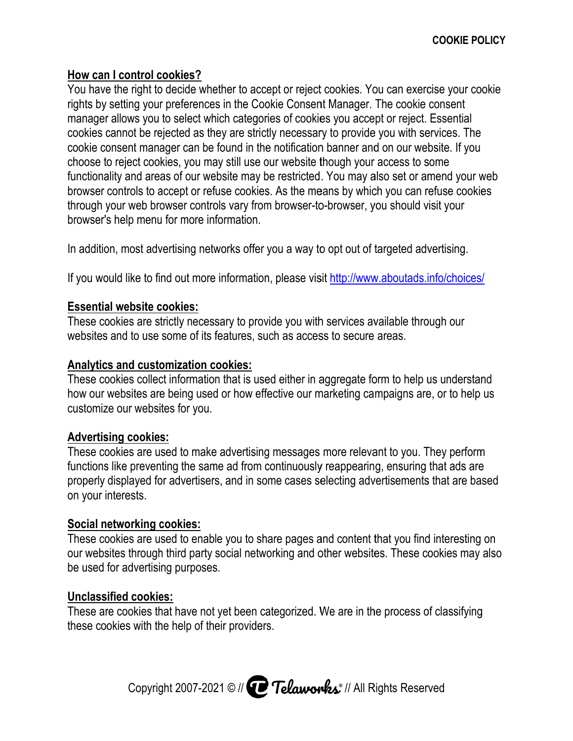# **How can I control cookies? How can**

You have the right to decide whether to accept or reject cookies. You can exercise your cookie rights by setting your preferences in the Cookie Consent Manager. The manager allows you to select which categories of cookies you accept or reject. Essential cookies cannot be rejected as they are strictly necessa cookie consent manager can be found in the notification banner and on our website. If you choose to reject cookies, you may still use our website though your access to some functionality and areas of our website may be restricted. You may also set or amend your web browser controls to accept or refuse cookies. As the means by which you can refuse cookies means by which you can refuse cookies to-browser, you should visit your through your web browser controls vary from browser-to browser's help menu for more information. u have the right to decide whether to accept or reject cookies. You can exercise your<br>ths by setting your preferences in the Cookie Consent Manager. The cookie consent<br>nager allows you to select which categories of cookies choose to reject cookies, you may still use our website though your access to some<br>functionality and areas of our website may be restricted. You may also set or amend your web<br>browser controls to accept or refuse cookies. You have the right to decide whether to accept or reject cookies. You can exe<br>rights by setting your preferences in the Cookie Consent Manager. The cookie<br>manager allows you to select which categories of cookies you accept rights by setting your preferences in the Cookie Consent Manager. The cookies consert and a more precised as they are strictly necessary to provide your web finding conservation conservation conservation conservation conse You may also set or amend your web nager allows you to select which categories of cookies you accept or reject. Esser<br>›kies cannot be rejected as they are strictly necessary to provide you with services<br>›kie consent manager can be found in the notification choose to reject cookies, you may still use our website though your access to some<br>functionality and areas of our website may be restricted. You may also set or amend your web<br>browser controls to accept or refuse cookies. cookies producted and are been considents. The cookies of the right to decide whether to accept or reject cookies. You can exercise your cookies by setting your preferences in the Cookie Consent Manager. The cookie consent okie consent<br>iject. Essentia<br>th services. T<br>ir website. If y<br>s to some<br>or amend you<br>can refuse co<br>uld visit your<br>d advertising.<br>ads.info/choic<br>els.info/choic<br>els.info/choic<br>els.info/choic<br>served<br>us are, or to h<br>us are, or The to reject cookies, you may still use our website though your access to some<br>ality and areas of our website may be restricted. You may also set or amend you<br>controls to accept or refuse cookies. As the means by which you ca You have the right to decide whether to accept or reject cookies. You can exercise your cookie<br>rights by setting your preferences in the Cookie Consent Manager. The cookie consent<br>manager allows you to select which categor also set or amend your wel<br>ich you can refuse cookies

In addition, most advertising networks offer you a way to opt out of targeted advertising.

In addition, most advertising networks offer you a way to opt out of targeted advertising.<br>If you would like to find out more information, please visit <u>http://www.aboutads.info/choices/</u>

# **Essential website cookies: website cookies:**

These cookies are strictly necessary to provide you with services available through our<br>websites and to use some of its features, such as access to secure areas. websites and to use some of its features, such as access to secure areas.

# **Analytics and customization cookies: cookies: customization cookies:**

These cookies collect information that is used either in aggregate form to help us understand to help us understand These cookies collect information that is used either in aggregate form to help us understand<br>how our websites are being used or how effective our marketing campaigns are, or to help us customize our websites for you. bities collect information that is used either in aggregate form to help us understand<br>vebsites are being used or how effective our marketing campaigns are, or to help u<br>experience to the preventing from continuously reapp are, or to help us

# **Advertising cookies:**

These cookies are used to make advertising messages more relevant to you functions like preventing the same ad from continuously reappearing, ensuring that ads are properly displayed for advertisers, and in some cases selecting advertisements that are based on your interests. These cookies are used to make advertising messages more relevant to you. Tl<br>functions like preventing the same ad from continuously reappearing, ensuring t<br>properly displayed for advertisers, and in some cases selecting a ebsites are being used or how effective our marketing campaigns are, or to help us<br>our websites for you.<br>**ng cookies:**<br>kies are used to make advertising messages more relevant to you. They perform<br>ike preventing the same a ake advertising messages more relevant to you. They perform<br>same ad from continuously reappearing, ensuring that ads are<br>sers, and in some cases selecting advertisements that are bas<br>nable you to share pages and content th websites are being used or how effective our marketing campaigns are, or to help us<br>
are our websites for you.<br> **ing cookies:**<br>
okies are used to make advertising messages more relevant to you. They perform<br>
like preventin e cookies are used to make advertising messages more relevant to you. They perform<br>ons like preventing the same ad from continuously reappearing, ensuring that ads are<br>rly displayed for advertisers, and in some cases selec

# **Social networking cookies:**

These cookies are used to enable you to share pages and content that you find interesting on<br>our websites through third party social networking and other websites. These cookies may also<br>be used for advertising purposes.<br><u></u> our websites through third party social networking and other websites. These cookies may also be used for advertising purposes.

# **Unclassified cookies:**

These are cookies that have not yet been categorized. We are in the process of classifying these cookies with the help of their providers. Copyright 2007 2021 © // // All Rights R yet been categorized. We the process of classifying Reserved our websites through third party sc<br>be used for advertising purposes.<br>**Unclassified cookies:**<br>These are cookies that have not ye<br>these cookies with the help of their<br>Copyright 2007-2021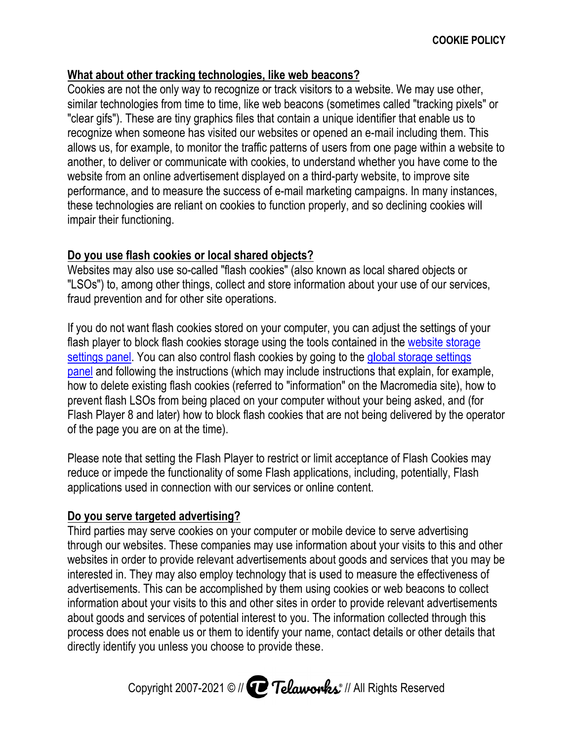## **What about other tracking technologies, like web beacons? beacons? technologies, like**

Cookies are not the only way to recognize or track visitors to a website. We may use other, similar technologies from time to time, like web beacons (sometimes called "tracking pixels" or "clear gifs"). These are tiny graphics files that contain a unique i recognize when someone has visited our websites or opened an e-mail including them. This allows us, for example, to monitor the traffic patterns of users from one page within a website to<br>another, to deliver or communicate with cookies, to understand whether you have come to the<br>website from an online advertis another, to deliver or communicate with cookies, to understand whether you have come to the website from an online advertisement displayed on a third-party website, to improve site website from an online advertisement displayed on a third-party website, to improve site<br>performance, and to measure the success of e-mail marketing campaigns. In many instances, these technologies are re<br>impair their functioning. impair their functioning. website from an online advertisement displayed on a third-party website, to improve site<br>performance, and to measure the success of e-mail marketing campaigns. In many instances,<br>these technologies are reliant on cookies t re not the only way to recognize or track visitors to a website. We may use othe<br>hnologies from time to time, like web beacons (sometimes called "tracking pixel"). These are tiny graphics files that contain a unique identi from time to time, like web beacons (sometimes called "tracking pixels'<br>ire tiny graphics files that contain a unique identifier that enable us to<br>leone has visited our websites or opened an e-mail including them. This<br>le, website from an online advertisement displayed on a third-party website, to improve site<br>performance, and to measure the success of e-mail marketing campaigns. In many instanc<br>these technologies are reliant on cookies to f technologies from time to time, like web beacons (sometimes called "tracking pixels" or is that contain a unique identifier that enable us to<br>r websites or opened an e-mail including them. This<br>affic patterns of users from one page within a website t<br>cookies, to understand whether you have come to the **COOKIE POLICY**<br> **COOKIE POLICY**<br>
The only way to recognize or track visitors to a website. We may use other,<br>
es form time to thine, like web beacons (sometimes called "tracking pixels" or<br>
es re tiny graphics like tho tr Cookies are not the and way to recognize or track visitors to a website We may use other,<br>"clear gifts"). These are thy graphics lifes that contrain a unique identifier that enable is to consider a gifts that contrain a un

# **Do you use flash cookies or l local ocal shared hared objects?**

"LSOs") to, among other things, collect and store information about your use of our services, fraud prevention and for other site operations.

"LSOs") to, among other things, collect and store information about your use of our services,<br>fraud prevention and for other site operations.<br>If you do not want flash cookies stored on your computer, you can adjust the set flash player to block flash cookies storag flash player to block flash cookies storage using the tools contained in the <u>website storag</u><br><u>settings panel</u>. You can also control flash cookies by going to the <u>global storage settings</u> <u>settings panel</u>. You can also control flash cookies by going to the <u>global storage settings</u><br><u>panel</u> and following the instructions (which may include instructions that explain, for example, how to delete existing flash cookies (referred to "information" on the Macromedia site), how to prevent f flash LSOs from being placed on your computer without your being asked, and (for Flash Player 8 and later) how to block of the page you are on at the time). ng flash cookies (referred to "information" on the Macromedia site), from being placed on your computer without your being asked, and later) how to block flash cookies that are not being delivered by the cookies" (also known as local shared objects or<br>nd store information about your use of our services,<br>tions.<br>n your computer, you can adjust the settings of your<br>e using the tools contained in the <u>website storage</u><br>in cooki d following the instructions (which may include instructions that explain, for example,<br>elete existing flash cookies (referred to "information" on the Macromedia site), how to<br>lash LSOs from being placed on your computer w [. You can also control flash cookies by going to the *global storage settings* owing the instructions (which may include instructions that explain, for example, existing flash cookies (referred to "information" on the Mac lash LSOs from being placed on your computer without your being asked, and (for<br>ıyer 8 and later) how to block flash cookies that are not being delivered by the operator

Please note that setting the Flash Player to restrict or limit acceptance of Flash Cookies may Flash Player 8 and later) how to block flash cookies that are not being delivered by the ope<br>of the page you are on at the time).<br>Please note that setting the Flash Player to restrict or limit acceptance of Flash Cookies m applications used in connection with our services or online content. prevent flash LSOs from being placed on your computer without yo<br>Flash Player 8 and later) how to block flash cookies that are not be<br>of the page you are on at the time).<br>Please note that setting the Flash Player to restri how to block flash cookies that are not being delivered by the<br>the time).<br>we Flash Player to restrict or limit acceptance of Flash Cookies<br>tionality of some Flash applications, including, potentially, Fla<br>ection with our s reduce or impede the functionality of some Flash applications, including, potentially, Flash<br>applications used in connection with our services or online content.<br><mark>Do you serve targeted advertising?</mark><br>Third parties may serve that setting the Flash Player to restrict or limit acceptance of Flash Cookies may<br>pede the functionality of some Flash applications, including, potentially, Flash<br>used in connection with our services or online content.<br>**e** 

#### **Do you serve targeted advertising?**

Third parties may serve cookies on your computer or mobile device to serve advertising<br>through our websites. These companies may use information about your visits to this an through our websites in order to provide relevant advertisements about goods and services that you may be interested in. They may also employ technology that is used to measure the effectiveness of advertisements. This can be accomplished by them using cookies or web beacons to collect information about your visits to this and other sites in order to provide relevant advertisements about goods and services of potential interest to you. The information collected through this process does not enable us or them to identify your name, contact details or other details that directly identify you unless you choose to provide these. They may also employ technology that is used to measure the effectiveness of eners. This can be accomplished by them using cookies or web beacons to collect a habout your visits to this and other sites in order to provide parties may serve cookies on your computer or mobile device to serve advertising<br>gh our websites. These companies may use information about your visits to this and oth<br>tes in order to provide relevant advertisements about n. They may also employ technology that is used to measure the effectiveness of<br>ents. This can be accomplished by them using cookies or web beacons to collect<br>about your visits to this and other sites in order to provide r applications used in connection with our services or online content.<br>
<u>Do you serve targeted advertising?</u><br>
Third parties may serve cookies on your computer or mobile device to serve advertising<br>
through our websites. The through our websites. These companies may use information about your visits to this and other<br>websites in order to provide relevant advertisements about goods and services that you may be<br>interested in. They may also emplo mail including them. This<br>one page within a website to<br>ther you have come to the<br>bsite, to improve site<br>paigns. In many instances,<br>so declining cookies will<br>cal shared objects or<br>your use of our services,<br>adjust the settin